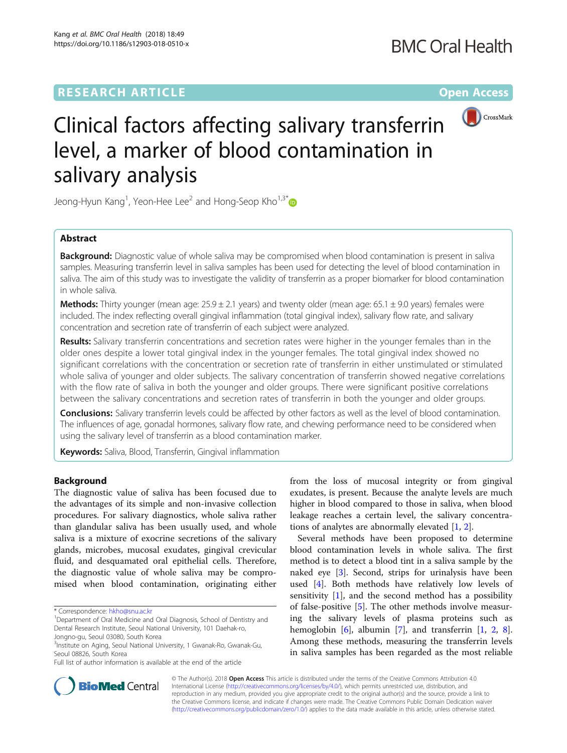# **RESEARCH ARTICLE External Structure Community Community Community Community Community Community Community Community**



# Clinical factors affecting salivary transferrin level, a marker of blood contamination in salivary analysis

Jeong-Hyun Kang $^1$ , Yeon-Hee Lee $^2$  and Hong-Seop Kho $^{1,3^*}$  $^{1,3^*}$  $^{1,3^*}$ 

# Abstract

**Background:** Diagnostic value of whole saliva may be compromised when blood contamination is present in saliva samples. Measuring transferrin level in saliva samples has been used for detecting the level of blood contamination in saliva. The aim of this study was to investigate the validity of transferrin as a proper biomarker for blood contamination in whole saliva.

**Methods:** Thirty younger (mean age:  $25.9 \pm 2.1$  years) and twenty older (mean age: 65.1  $\pm$  9.0 years) females were included. The index reflecting overall gingival inflammation (total gingival index), salivary flow rate, and salivary concentration and secretion rate of transferrin of each subject were analyzed.

Results: Salivary transferrin concentrations and secretion rates were higher in the younger females than in the older ones despite a lower total gingival index in the younger females. The total gingival index showed no significant correlations with the concentration or secretion rate of transferrin in either unstimulated or stimulated whole saliva of younger and older subjects. The salivary concentration of transferrin showed negative correlations with the flow rate of saliva in both the younger and older groups. There were significant positive correlations between the salivary concentrations and secretion rates of transferrin in both the younger and older groups.

**Conclusions:** Salivary transferrin levels could be affected by other factors as well as the level of blood contamination. The influences of age, gonadal hormones, salivary flow rate, and chewing performance need to be considered when using the salivary level of transferrin as a blood contamination marker.

Keywords: Saliva, Blood, Transferrin, Gingival inflammation

# Background

The diagnostic value of saliva has been focused due to the advantages of its simple and non-invasive collection procedures. For salivary diagnostics, whole saliva rather than glandular saliva has been usually used, and whole saliva is a mixture of exocrine secretions of the salivary glands, microbes, mucosal exudates, gingival crevicular fluid, and desquamated oral epithelial cells. Therefore, the diagnostic value of whole saliva may be compromised when blood contamination, originating either

from the loss of mucosal integrity or from gingival exudates, is present. Because the analyte levels are much higher in blood compared to those in saliva, when blood leakage reaches a certain level, the salivary concentrations of analytes are abnormally elevated  $[1, 2]$  $[1, 2]$  $[1, 2]$  $[1, 2]$ .

Several methods have been proposed to determine blood contamination levels in whole saliva. The first method is to detect a blood tint in a saliva sample by the naked eye [[3\]](#page-3-0). Second, strips for urinalysis have been used [[4](#page-3-0)]. Both methods have relatively low levels of sensitivity  $[1]$  $[1]$ , and the second method has a possibility of false-positive [[5\]](#page-3-0). The other methods involve measuring the salivary levels of plasma proteins such as hemoglobin [\[6](#page-3-0)], albumin [\[7\]](#page-3-0), and transferrin [\[1](#page-3-0), [2](#page-3-0), [8](#page-3-0)]. Among these methods, measuring the transferrin levels in saliva samples has been regarded as the most reliable



© The Author(s). 2018 Open Access This article is distributed under the terms of the Creative Commons Attribution 4.0 International License [\(http://creativecommons.org/licenses/by/4.0/](http://creativecommons.org/licenses/by/4.0/)), which permits unrestricted use, distribution, and reproduction in any medium, provided you give appropriate credit to the original author(s) and the source, provide a link to the Creative Commons license, and indicate if changes were made. The Creative Commons Public Domain Dedication waiver [\(http://creativecommons.org/publicdomain/zero/1.0/](http://creativecommons.org/publicdomain/zero/1.0/)) applies to the data made available in this article, unless otherwise stated.

<sup>\*</sup> Correspondence: [hkho@snu.ac.kr](mailto:hkho@snu.ac.kr) <sup>1</sup>

<sup>&</sup>lt;sup>1</sup>Department of Oral Medicine and Oral Diagnosis, School of Dentistry and Dental Research Institute, Seoul National University, 101 Daehak-ro, Jongno-gu, Seoul 03080, South Korea

<sup>3</sup> Institute on Aging, Seoul National University, 1 Gwanak-Ro, Gwanak-Gu,

Seoul 08826, South Korea

Full list of author information is available at the end of the article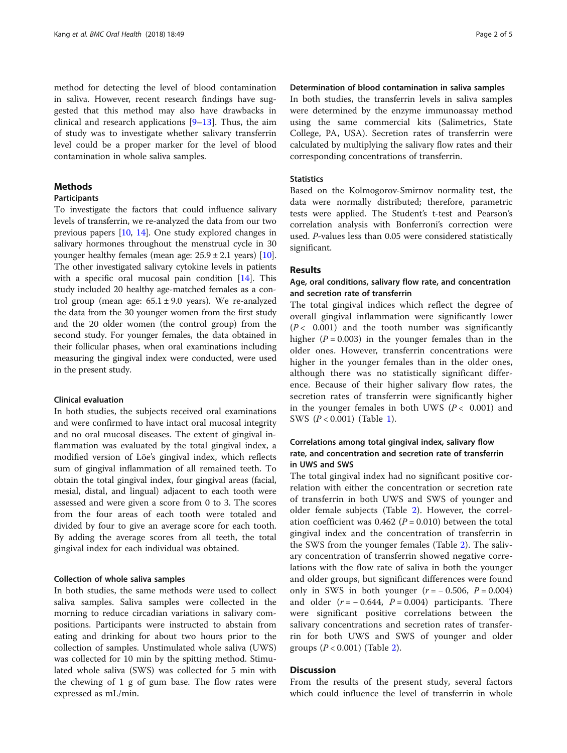method for detecting the level of blood contamination in saliva. However, recent research findings have suggested that this method may also have drawbacks in clinical and research applications  $[9-13]$  $[9-13]$  $[9-13]$  $[9-13]$ . Thus, the aim of study was to investigate whether salivary transferrin level could be a proper marker for the level of blood contamination in whole saliva samples.

# **Methods**

### Participants

To investigate the factors that could influence salivary levels of transferrin, we re-analyzed the data from our two previous papers [[10](#page-3-0), [14\]](#page-4-0). One study explored changes in salivary hormones throughout the menstrual cycle in 30 younger healthy females (mean age:  $25.9 \pm 2.1$  years) [[10](#page-3-0)]. The other investigated salivary cytokine levels in patients with a specific oral mucosal pain condition [[14](#page-4-0)]. This study included 20 healthy age-matched females as a control group (mean age:  $65.1 \pm 9.0$  years). We re-analyzed the data from the 30 younger women from the first study and the 20 older women (the control group) from the second study. For younger females, the data obtained in their follicular phases, when oral examinations including measuring the gingival index were conducted, were used in the present study.

# Clinical evaluation

In both studies, the subjects received oral examinations and were confirmed to have intact oral mucosal integrity and no oral mucosal diseases. The extent of gingival inflammation was evaluated by the total gingival index, a modified version of Löe's gingival index, which reflects sum of gingival inflammation of all remained teeth. To obtain the total gingival index, four gingival areas (facial, mesial, distal, and lingual) adjacent to each tooth were assessed and were given a score from 0 to 3. The scores from the four areas of each tooth were totaled and divided by four to give an average score for each tooth. By adding the average scores from all teeth, the total gingival index for each individual was obtained.

#### Collection of whole saliva samples

In both studies, the same methods were used to collect saliva samples. Saliva samples were collected in the morning to reduce circadian variations in salivary compositions. Participants were instructed to abstain from eating and drinking for about two hours prior to the collection of samples. Unstimulated whole saliva (UWS) was collected for 10 min by the spitting method. Stimulated whole saliva (SWS) was collected for 5 min with the chewing of 1 g of gum base. The flow rates were expressed as mL/min.

# Determination of blood contamination in saliva samples

In both studies, the transferrin levels in saliva samples were determined by the enzyme immunoassay method using the same commercial kits (Salimetrics, State College, PA, USA). Secretion rates of transferrin were calculated by multiplying the salivary flow rates and their corresponding concentrations of transferrin.

#### **Statistics**

Based on the Kolmogorov-Smirnov normality test, the data were normally distributed; therefore, parametric tests were applied. The Student's t-test and Pearson's correlation analysis with Bonferroni's correction were used. P-values less than 0.05 were considered statistically significant.

# Results

# Age, oral conditions, salivary flow rate, and concentration and secretion rate of transferrin

The total gingival indices which reflect the degree of overall gingival inflammation were significantly lower  $(P< 0.001)$  and the tooth number was significantly higher ( $P = 0.003$ ) in the younger females than in the older ones. However, transferrin concentrations were higher in the younger females than in the older ones, although there was no statistically significant difference. Because of their higher salivary flow rates, the secretion rates of transferrin were significantly higher in the younger females in both UWS ( $P < 0.001$ ) and SWS (P < 0.001) (Table [1](#page-2-0)).

# Correlations among total gingival index, salivary flow rate, and concentration and secretion rate of transferrin in UWS and SWS

The total gingival index had no significant positive correlation with either the concentration or secretion rate of transferrin in both UWS and SWS of younger and older female subjects (Table [2\)](#page-2-0). However, the correlation coefficient was  $0.462$  ( $P = 0.010$ ) between the total gingival index and the concentration of transferrin in the SWS from the younger females (Table [2\)](#page-2-0). The salivary concentration of transferrin showed negative correlations with the flow rate of saliva in both the younger and older groups, but significant differences were found only in SWS in both younger  $(r = -0.506, P = 0.004)$ and older  $(r = -0.644, P = 0.004)$  participants. There were significant positive correlations between the salivary concentrations and secretion rates of transferrin for both UWS and SWS of younger and older groups  $(P < 0.001)$  (Table [2](#page-2-0)).

# **Discussion**

From the results of the present study, several factors which could influence the level of transferrin in whole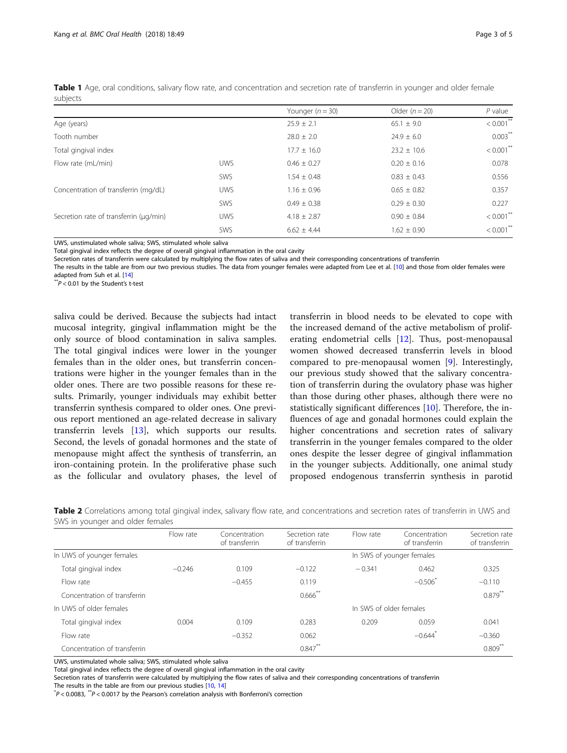|                                        |            | Younger $(n = 30)$ | Older $(n = 20)$ | $P$ value    |
|----------------------------------------|------------|--------------------|------------------|--------------|
| Age (years)                            |            | $25.9 \pm 2.1$     | $65.1 \pm 9.0$   | $< 0.001$ ** |
| Tooth number                           |            | $28.0 \pm 2.0$     | $24.9 \pm 6.0$   | $0.003***$   |
| Total gingival index                   |            | $17.7 \pm 16.0$    | $23.2 \pm 10.6$  | $< 0.001$ ** |
| Flow rate (mL/min)                     | <b>UWS</b> | $0.46 \pm 0.27$    | $0.20 \pm 0.16$  | 0.078        |
|                                        | <b>SWS</b> | $1.54 \pm 0.48$    | $0.83 \pm 0.43$  | 0.556        |
| Concentration of transferrin (mg/dL)   | <b>UWS</b> | $1.16 \pm 0.96$    | $0.65 \pm 0.82$  | 0.357        |
|                                        | <b>SWS</b> | $0.49 \pm 0.38$    | $0.29 \pm 0.30$  | 0.227        |
| Secretion rate of transferrin (µq/min) | <b>UWS</b> | $4.18 \pm 2.87$    | $0.90 \pm 0.84$  | $< 0.001$ ** |
|                                        | SWS        | $6.62 \pm 4.44$    | $1.62 \pm 0.90$  | $< 0.001$ ** |
|                                        |            |                    |                  |              |

<span id="page-2-0"></span>Table 1 Age, oral conditions, salivary flow rate, and concentration and secretion rate of transferrin in younger and older female subjects

UWS, unstimulated whole saliva; SWS, stimulated whole saliva

Total gingival index reflects the degree of overall gingival inflammation in the oral cavity

Secretion rates of transferrin were calculated by multiplying the flow rates of saliva and their corresponding concentrations of transferrin

The results in the table are from our two previous studies. The data from younger females were adapted from Lee et al. [[10\]](#page-3-0) and those from older females were adapted from Suh et al.  $[14]$  $[14]$ <br>\*\* $P < 0.01$  by the Student's t-test

saliva could be derived. Because the subjects had intact mucosal integrity, gingival inflammation might be the only source of blood contamination in saliva samples. The total gingival indices were lower in the younger females than in the older ones, but transferrin concentrations were higher in the younger females than in the older ones. There are two possible reasons for these results. Primarily, younger individuals may exhibit better transferrin synthesis compared to older ones. One previous report mentioned an age-related decrease in salivary transferrin levels [[13\]](#page-4-0), which supports our results. Second, the levels of gonadal hormones and the state of menopause might affect the synthesis of transferrin, an iron-containing protein. In the proliferative phase such as the follicular and ovulatory phases, the level of transferrin in blood needs to be elevated to cope with the increased demand of the active metabolism of proliferating endometrial cells  $[12]$  $[12]$ . Thus, post-menopausal women showed decreased transferrin levels in blood compared to pre-menopausal women [[9\]](#page-3-0). Interestingly, our previous study showed that the salivary concentration of transferrin during the ovulatory phase was higher than those during other phases, although there were no statistically significant differences  $[10]$  $[10]$  $[10]$ . Therefore, the influences of age and gonadal hormones could explain the higher concentrations and secretion rates of salivary transferrin in the younger females compared to the older ones despite the lesser degree of gingival inflammation in the younger subjects. Additionally, one animal study proposed endogenous transferrin synthesis in parotid

| Table 2 Correlations among total gingival index, salivary flow rate, and concentrations and secretion rates of transferrin in UWS and |  |  |  |
|---------------------------------------------------------------------------------------------------------------------------------------|--|--|--|
| SWS in younger and older females                                                                                                      |  |  |  |

|                              | Flow rate | Concentration<br>of transferrin | Secretion rate<br>of transferrin | Flow rate                 | Concentration<br>of transferrin | Secretion rate<br>of transferrin |  |
|------------------------------|-----------|---------------------------------|----------------------------------|---------------------------|---------------------------------|----------------------------------|--|
| In UWS of younger females    |           |                                 |                                  | In SWS of younger females |                                 |                                  |  |
| Total gingival index         | $-0.246$  | 0.109                           | $-0.122$                         | $-0.341$                  | 0.462                           | 0.325                            |  |
| Flow rate                    |           | $-0.455$                        | 0.119                            |                           | $-0.506$ <sup>*</sup>           | $-0.110$                         |  |
| Concentration of transferrin |           |                                 | $0.666$ <sup>**</sup>            |                           |                                 | $0.879**$                        |  |
| In UWS of older females      |           | In SWS of older females         |                                  |                           |                                 |                                  |  |
| Total gingival index         | 0.004     | 0.109                           | 0.283                            | 0.209                     | 0.059                           | 0.041                            |  |
| Flow rate                    |           | $-0.352$                        | 0.062                            |                           | $-0.644$ <sup>*</sup>           | $-0.360$                         |  |
| Concentration of transferrin |           |                                 | $0.847***$                       |                           |                                 | $0.809**$                        |  |

UWS, unstimulated whole saliva; SWS, stimulated whole saliva

Total gingival index reflects the degree of overall gingival inflammation in the oral cavity

Secretion rates of transferrin were calculated by multiplying the flow rates of saliva and their corresponding concentrations of transferrin The results in the table are from our previous studies [[10](#page-3-0), [14\]](#page-4-0)

 $P^*P$  < 0.0083,  $P^*P$  < 0.0017 by the Pearson's correlation analysis with Bonferroni's correction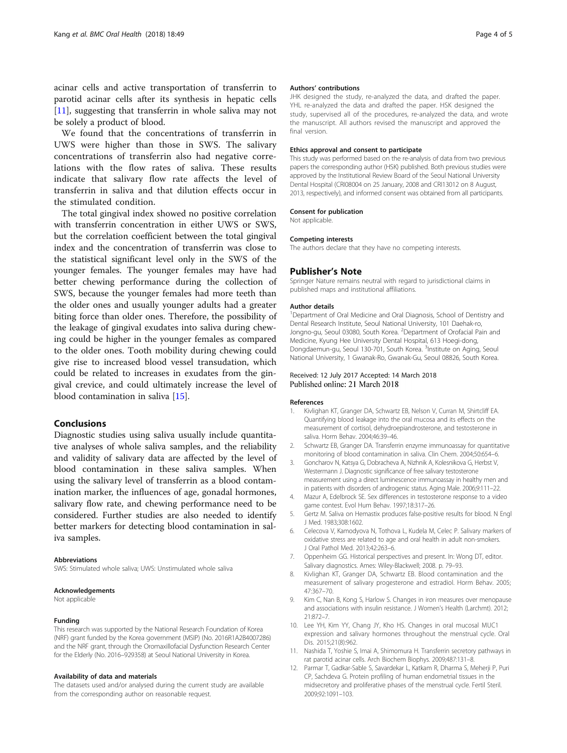<span id="page-3-0"></span>acinar cells and active transportation of transferrin to parotid acinar cells after its synthesis in hepatic cells [11], suggesting that transferrin in whole saliva may not be solely a product of blood.

We found that the concentrations of transferrin in UWS were higher than those in SWS. The salivary concentrations of transferrin also had negative correlations with the flow rates of saliva. These results indicate that salivary flow rate affects the level of transferrin in saliva and that dilution effects occur in the stimulated condition.

The total gingival index showed no positive correlation with transferrin concentration in either UWS or SWS, but the correlation coefficient between the total gingival index and the concentration of transferrin was close to the statistical significant level only in the SWS of the younger females. The younger females may have had better chewing performance during the collection of SWS, because the younger females had more teeth than the older ones and usually younger adults had a greater biting force than older ones. Therefore, the possibility of the leakage of gingival exudates into saliva during chewing could be higher in the younger females as compared to the older ones. Tooth mobility during chewing could give rise to increased blood vessel transudation, which could be related to increases in exudates from the gingival crevice, and could ultimately increase the level of blood contamination in saliva [\[15](#page-4-0)].

#### Conclusions

Diagnostic studies using saliva usually include quantitative analyses of whole saliva samples, and the reliability and validity of salivary data are affected by the level of blood contamination in these saliva samples. When using the salivary level of transferrin as a blood contamination marker, the influences of age, gonadal hormones, salivary flow rate, and chewing performance need to be considered. Further studies are also needed to identify better markers for detecting blood contamination in saliva samples.

#### Abbreviations

SWS: Stimulated whole saliva; UWS: Unstimulated whole saliva

#### Acknowledgements

Not applicable

#### Funding

This research was supported by the National Research Foundation of Korea (NRF) grant funded by the Korea government (MSIP) (No. 2016R1A2B4007286) and the NRF grant, through the Oromaxillofacial Dysfunction Research Center for the Elderly (No. 2016–929358) at Seoul National University in Korea.

#### Availability of data and materials

The datasets used and/or analysed during the current study are available from the corresponding author on reasonable request.

#### Authors' contributions

JHK designed the study, re-analyzed the data, and drafted the paper. YHL re-analyzed the data and drafted the paper. HSK designed the study, supervised all of the procedures, re-analyzed the data, and wrote the manuscript. All authors revised the manuscript and approved the final version.

#### Ethics approval and consent to participate

This study was performed based on the re-analysis of data from two previous papers the corresponding author (HSK) published. Both previous studies were approved by the Institutional Review Board of the Seoul National University Dental Hospital (CRI08004 on 25 January, 2008 and CRI13012 on 8 August, 2013, respectively), and informed consent was obtained from all participants.

#### Consent for publication

Not applicable.

#### Competing interests

The authors declare that they have no competing interests.

#### Publisher's Note

Springer Nature remains neutral with regard to jurisdictional claims in published maps and institutional affiliations.

#### Author details

<sup>1</sup>Department of Oral Medicine and Oral Diagnosis, School of Dentistry and Dental Research Institute, Seoul National University, 101 Daehak-ro, Jongno-gu, Seoul 03080, South Korea. <sup>2</sup>Department of Orofacial Pain and Medicine, Kyung Hee University Dental Hospital, 613 Hoegi-dong, Dongdaemun-gu, Seoul 130-701, South Korea. <sup>3</sup>Institute on Aging, Seoul National University, 1 Gwanak-Ro, Gwanak-Gu, Seoul 08826, South Korea.

#### Received: 12 July 2017 Accepted: 14 March 2018 Published online: 21 March 2018

#### References

- 1. Kivlighan KT, Granger DA, Schwartz EB, Nelson V, Curran M, Shirtcliff EA. Quantifying blood leakage into the oral mucosa and its effects on the measurement of cortisol, dehydroepiandrosterone, and testosterone in saliva. Horm Behav. 2004;46:39–46.
- 2. Schwartz EB, Granger DA. Transferrin enzyme immunoassay for quantitative monitoring of blood contamination in saliva. Clin Chem. 2004;50:654–6.
- 3. Goncharov N, Katsya G, Dobracheva A, Nizhnik A, Kolesnikova G, Herbst V, Westermann J. Diagnostic significance of free salivary testosterone measurement using a direct luminescence immunoassay in healthy men and in patients with disorders of androgenic status. Aging Male. 2006;9:111–22.
- 4. Mazur A, Edelbrock SE. Sex differences in testosterone response to a video game contest. Evol Hum Behav. 1997;18:317–26.
- 5. Gertz M. Saliva on Hemastix produces false-positive results for blood. N Engl J Med. 1983;308:1602.
- 6. Celecova V, Kamodyova N, Tothova L, Kudela M, Celec P. Salivary markers of oxidative stress are related to age and oral health in adult non-smokers. J Oral Pathol Med. 2013;42:263–6.
- 7. Oppenheim GG. Historical perspectives and present. In: Wong DT, editor. Salivary diagnostics. Ames: Wiley-Blackwell; 2008. p. 79–93.
- 8. Kivlighan KT, Granger DA, Schwartz EB. Blood contamination and the measurement of salivary progesterone and estradiol. Horm Behav. 2005; 47:367–70.
- Kim C, Nan B, Kong S, Harlow S. Changes in iron measures over menopause and associations with insulin resistance. J Women's Health (Larchmt). 2012: 21:872–7.
- 10. Lee YH, Kim YY, Chang JY, Kho HS. Changes in oral mucosal MUC1 expression and salivary hormones throughout the menstrual cycle. Oral Dis. 2015;21(8):962.
- 11. Nashida T, Yoshie S, Imai A, Shimomura H. Transferrin secretory pathways in rat parotid acinar cells. Arch Biochem Biophys. 2009;487:131–8.
- 12. Parmar T, Gadkar-Sable S, Savardekar L, Katkam R, Dharma S, Meherji P, Puri CP, Sachdeva G. Protein profiling of human endometrial tissues in the midsecretory and proliferative phases of the menstrual cycle. Fertil Steril. 2009;92:1091–103.